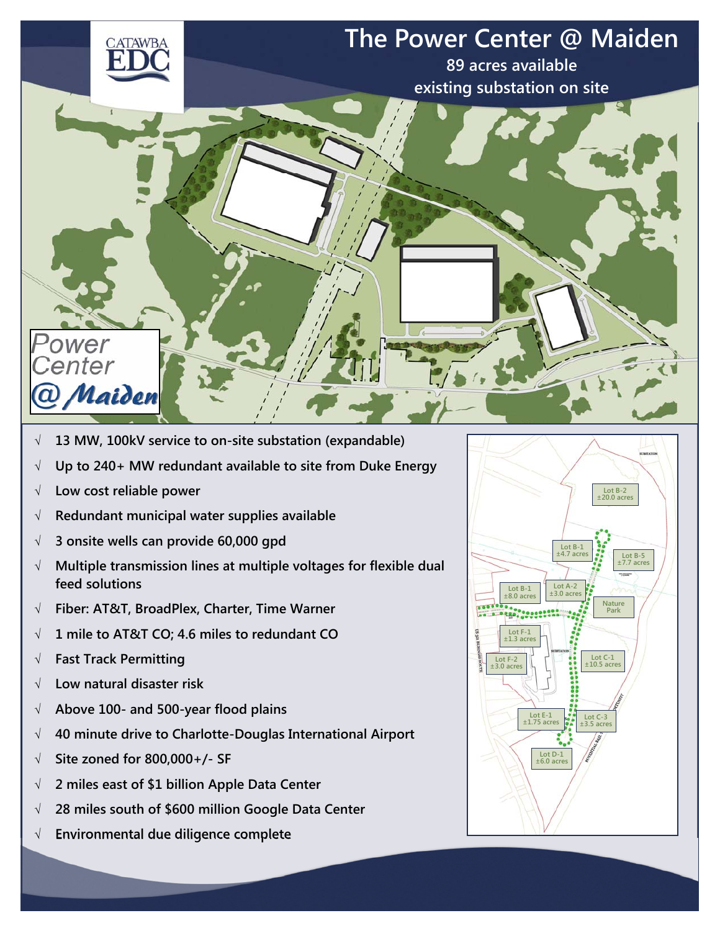

- **13 MW, 100kV service to on-site substation (expandable)**
- **Up to 240+ MW redundant available to site from Duke Energy**
- **Low cost reliable power**
- **Redundant municipal water supplies available**
- **3 onsite wells can provide 60,000 gpd**
- **Multiple transmission lines at multiple voltages for flexible dual feed solutions**
- **Fiber: AT&T, BroadPlex, Charter, Time Warner**
- **1 mile to AT&T CO; 4.6 miles to redundant CO**
- **Fast Track Permitting**
- **Low natural disaster risk**
- **Above 100- and 500-year flood plains**
- **40 minute drive to Charlotte-Douglas International Airport**
- **Site zoned for 800,000+/- SF**
- **2 miles east of \$1 billion Apple Data Center**
- **28 miles south of \$600 million Google Data Center**
- **Environmental due diligence complete**